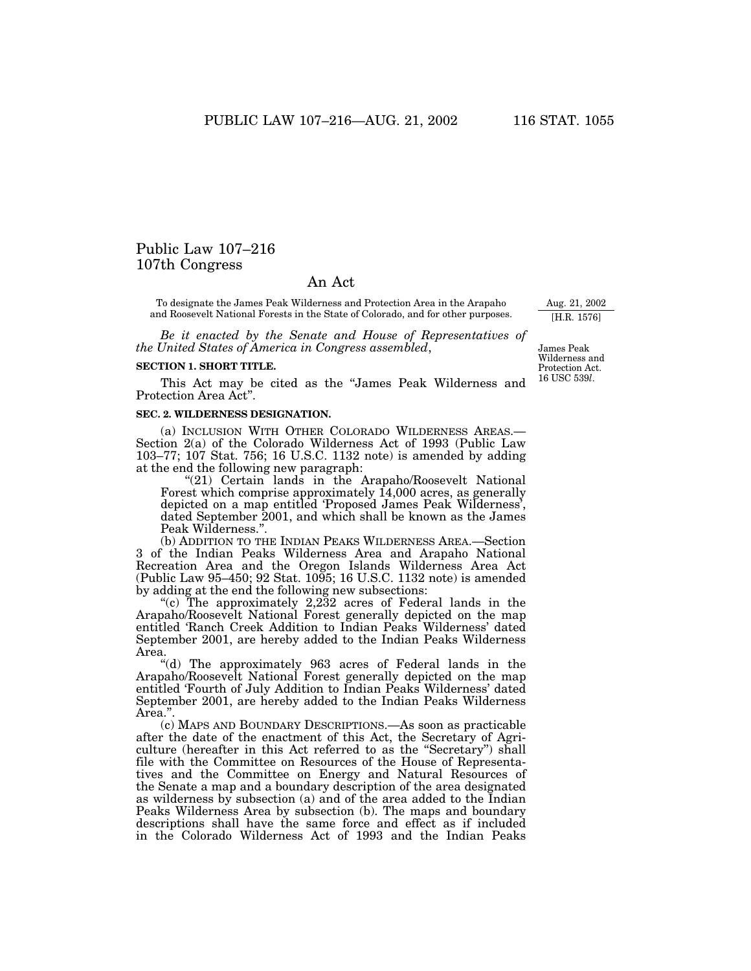# Public Law 107–216 107th Congress

## An Act

To designate the James Peak Wilderness and Protection Area in the Arapaho and Roosevelt National Forests in the State of Colorado, and for other purposes.

*Be it enacted by the Senate and House of Representatives of the United States of America in Congress assembled*,

#### **SECTION 1. SHORT TITLE.**

This Act may be cited as the ''James Peak Wilderness and Protection Area Act''.

#### **SEC. 2. WILDERNESS DESIGNATION.**

(a) INCLUSION WITH OTHER COLORADO WILDERNESS AREAS.— Section 2(a) of the Colorado Wilderness Act of 1993 (Public Law 103–77; 107 Stat. 756; 16 U.S.C. 1132 note) is amended by adding at the end the following new paragraph:

"(21) Certain lands in the Arapaho/Roosevelt National Forest which comprise approximately 14,000 acres, as generally depicted on a map entitled 'Proposed James Peak Wilderness', dated September 2001, and which shall be known as the James Peak Wilderness."

(b) ADDITION TO THE INDIAN PEAKS WILDERNESS AREA.—Section 3 of the Indian Peaks Wilderness Area and Arapaho National Recreation Area and the Oregon Islands Wilderness Area Act (Public Law 95–450; 92 Stat. 1095; 16 U.S.C. 1132 note) is amended by adding at the end the following new subsections:

''(c) The approximately 2,232 acres of Federal lands in the Arapaho/Roosevelt National Forest generally depicted on the map entitled 'Ranch Creek Addition to Indian Peaks Wilderness' dated September 2001, are hereby added to the Indian Peaks Wilderness Area.

''(d) The approximately 963 acres of Federal lands in the Arapaho/Roosevelt National Forest generally depicted on the map entitled 'Fourth of July Addition to Indian Peaks Wilderness' dated September 2001, are hereby added to the Indian Peaks Wilderness Area.''.

(c) MAPS AND BOUNDARY DESCRIPTIONS.—As soon as practicable after the date of the enactment of this Act, the Secretary of Agriculture (hereafter in this Act referred to as the ''Secretary'') shall file with the Committee on Resources of the House of Representatives and the Committee on Energy and Natural Resources of the Senate a map and a boundary description of the area designated as wilderness by subsection (a) and of the area added to the Indian Peaks Wilderness Area by subsection (b). The maps and boundary descriptions shall have the same force and effect as if included in the Colorado Wilderness Act of 1993 and the Indian Peaks

James Peak Wilderness and Protection Act. 16 USC 539*l*.

Aug. 21, 2002 [H.R. 1576]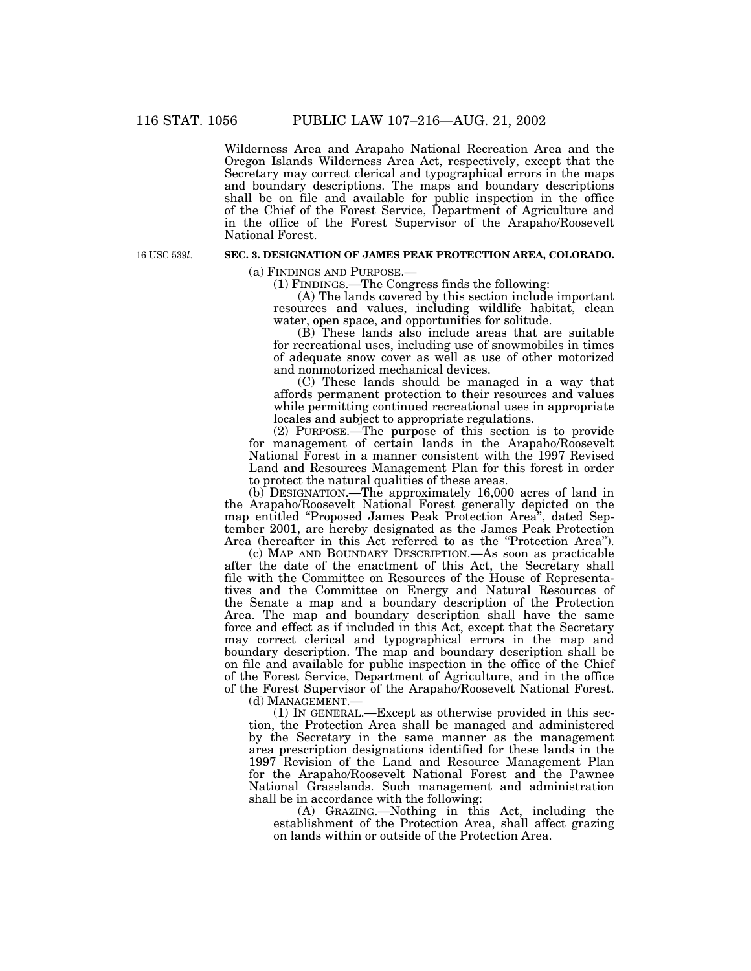Wilderness Area and Arapaho National Recreation Area and the Oregon Islands Wilderness Area Act, respectively, except that the Secretary may correct clerical and typographical errors in the maps and boundary descriptions. The maps and boundary descriptions shall be on file and available for public inspection in the office of the Chief of the Forest Service, Department of Agriculture and in the office of the Forest Supervisor of the Arapaho/Roosevelt National Forest.

16 USC 539*l*.

#### **SEC. 3. DESIGNATION OF JAMES PEAK PROTECTION AREA, COLORADO.**

(a) FINDINGS AND PURPOSE.— (1) FINDINGS.—The Congress finds the following:

(A) The lands covered by this section include important resources and values, including wildlife habitat, clean water, open space, and opportunities for solitude.

(B) These lands also include areas that are suitable for recreational uses, including use of snowmobiles in times of adequate snow cover as well as use of other motorized and nonmotorized mechanical devices.

(C) These lands should be managed in a way that affords permanent protection to their resources and values while permitting continued recreational uses in appropriate locales and subject to appropriate regulations.

(2) PURPOSE.—The purpose of this section is to provide for management of certain lands in the Arapaho/Roosevelt National Forest in a manner consistent with the 1997 Revised Land and Resources Management Plan for this forest in order to protect the natural qualities of these areas.

(b) DESIGNATION.—The approximately 16,000 acres of land in the Arapaho/Roosevelt National Forest generally depicted on the map entitled ''Proposed James Peak Protection Area'', dated September 2001, are hereby designated as the James Peak Protection Area (hereafter in this Act referred to as the "Protection Area").

(c) MAP AND BOUNDARY DESCRIPTION.—As soon as practicable after the date of the enactment of this Act, the Secretary shall file with the Committee on Resources of the House of Representatives and the Committee on Energy and Natural Resources of the Senate a map and a boundary description of the Protection Area. The map and boundary description shall have the same force and effect as if included in this Act, except that the Secretary may correct clerical and typographical errors in the map and boundary description. The map and boundary description shall be on file and available for public inspection in the office of the Chief of the Forest Service, Department of Agriculture, and in the office of the Forest Supervisor of the Arapaho/Roosevelt National Forest.

(d) MANAGEMENT.—

(1) IN GENERAL.—Except as otherwise provided in this section, the Protection Area shall be managed and administered by the Secretary in the same manner as the management area prescription designations identified for these lands in the 1997 Revision of the Land and Resource Management Plan for the Arapaho/Roosevelt National Forest and the Pawnee National Grasslands. Such management and administration shall be in accordance with the following:

(A) GRAZING.—Nothing in this Act, including the establishment of the Protection Area, shall affect grazing on lands within or outside of the Protection Area.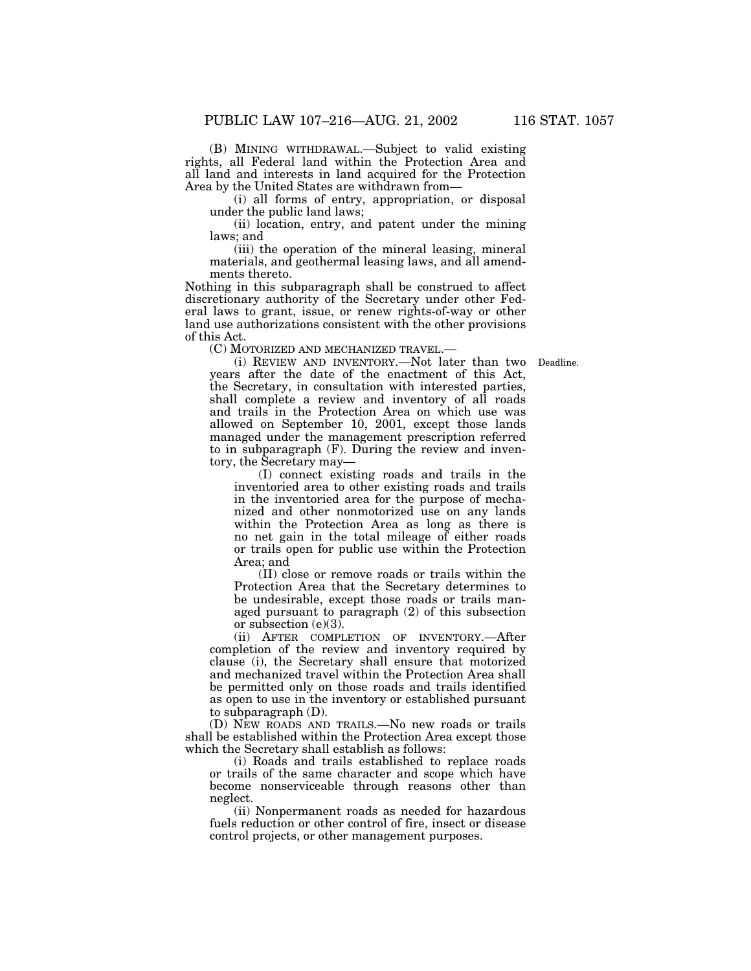(B) MINING WITHDRAWAL.—Subject to valid existing rights, all Federal land within the Protection Area and all land and interests in land acquired for the Protection Area by the United States are withdrawn from—

(i) all forms of entry, appropriation, or disposal under the public land laws;

(ii) location, entry, and patent under the mining laws; and

(iii) the operation of the mineral leasing, mineral materials, and geothermal leasing laws, and all amendments thereto.

Nothing in this subparagraph shall be construed to affect discretionary authority of the Secretary under other Federal laws to grant, issue, or renew rights-of-way or other land use authorizations consistent with the other provisions of this Act.

(C) MOTORIZED AND MECHANIZED TRAVEL.—

Deadline.

(i) REVIEW AND INVENTORY.—Not later than two years after the date of the enactment of this Act, the Secretary, in consultation with interested parties, shall complete a review and inventory of all roads and trails in the Protection Area on which use was allowed on September 10, 2001, except those lands managed under the management prescription referred to in subparagraph (F). During the review and inventory, the Secretary may—

(I) connect existing roads and trails in the inventoried area to other existing roads and trails in the inventoried area for the purpose of mechanized and other nonmotorized use on any lands within the Protection Area as long as there is no net gain in the total mileage of either roads or trails open for public use within the Protection Area; and

(II) close or remove roads or trails within the Protection Area that the Secretary determines to be undesirable, except those roads or trails managed pursuant to paragraph (2) of this subsection or subsection (e)(3).

(ii) AFTER COMPLETION OF INVENTORY.—After completion of the review and inventory required by clause (i), the Secretary shall ensure that motorized and mechanized travel within the Protection Area shall be permitted only on those roads and trails identified as open to use in the inventory or established pursuant to subparagraph (D).

(D) NEW ROADS AND TRAILS.—No new roads or trails shall be established within the Protection Area except those which the Secretary shall establish as follows:

(i) Roads and trails established to replace roads or trails of the same character and scope which have become nonserviceable through reasons other than neglect.

(ii) Nonpermanent roads as needed for hazardous fuels reduction or other control of fire, insect or disease control projects, or other management purposes.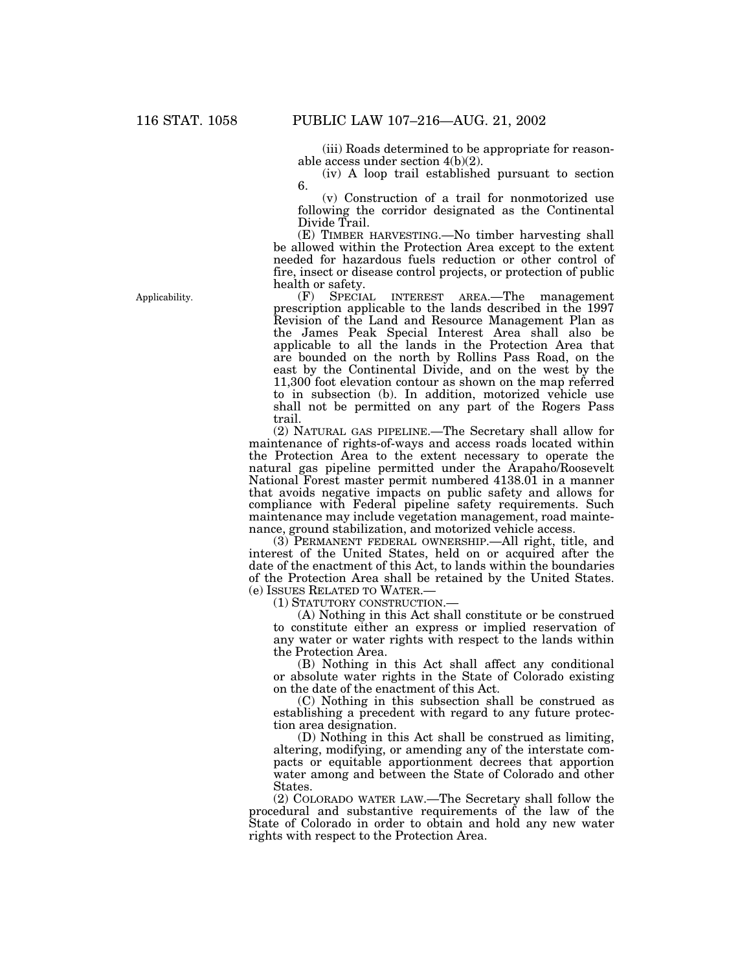(iii) Roads determined to be appropriate for reasonable access under section 4(b)(2).

(iv) A loop trail established pursuant to section 6.

(v) Construction of a trail for nonmotorized use following the corridor designated as the Continental Divide Trail.

(E) TIMBER HARVESTING.—No timber harvesting shall be allowed within the Protection Area except to the extent needed for hazardous fuels reduction or other control of fire, insect or disease control projects, or protection of public health or safety.<br>(F) SPECIA

SPECIAL INTEREST AREA.—The management prescription applicable to the lands described in the 1997 Revision of the Land and Resource Management Plan as the James Peak Special Interest Area shall also be applicable to all the lands in the Protection Area that are bounded on the north by Rollins Pass Road, on the east by the Continental Divide, and on the west by the 11,300 foot elevation contour as shown on the map referred to in subsection (b). In addition, motorized vehicle use shall not be permitted on any part of the Rogers Pass trail.

(2) NATURAL GAS PIPELINE.—The Secretary shall allow for maintenance of rights-of-ways and access roads located within the Protection Area to the extent necessary to operate the natural gas pipeline permitted under the Arapaho/Roosevelt National Forest master permit numbered 4138.01 in a manner that avoids negative impacts on public safety and allows for compliance with Federal pipeline safety requirements. Such maintenance may include vegetation management, road maintenance, ground stabilization, and motorized vehicle access.

(3) PERMANENT FEDERAL OWNERSHIP.—All right, title, and interest of the United States, held on or acquired after the date of the enactment of this Act, to lands within the boundaries of the Protection Area shall be retained by the United States. (e) ISSUES RELATED TO WATER.—

(1) STATUTORY CONSTRUCTION.—

(A) Nothing in this Act shall constitute or be construed to constitute either an express or implied reservation of any water or water rights with respect to the lands within the Protection Area.

(B) Nothing in this Act shall affect any conditional or absolute water rights in the State of Colorado existing on the date of the enactment of this Act.

(C) Nothing in this subsection shall be construed as establishing a precedent with regard to any future protection area designation.

(D) Nothing in this Act shall be construed as limiting, altering, modifying, or amending any of the interstate compacts or equitable apportionment decrees that apportion water among and between the State of Colorado and other States.

(2) COLORADO WATER LAW.—The Secretary shall follow the procedural and substantive requirements of the law of the State of Colorado in order to obtain and hold any new water rights with respect to the Protection Area.

Applicability.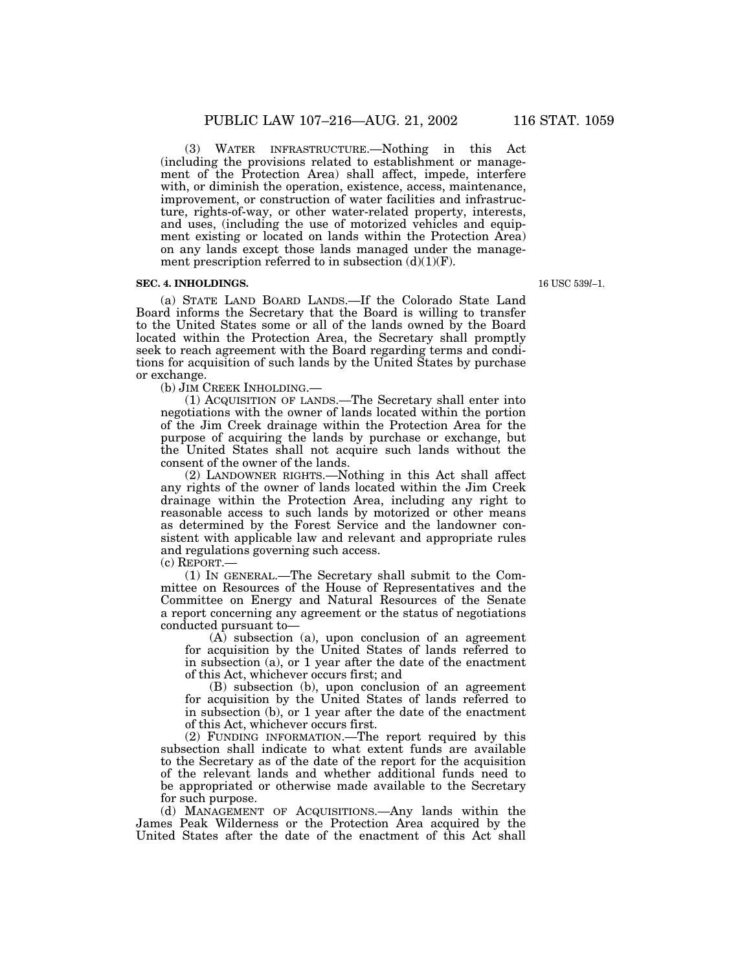(3) WATER INFRASTRUCTURE.—Nothing in this Act (including the provisions related to establishment or management of the Protection Area) shall affect, impede, interfere with, or diminish the operation, existence, access, maintenance, improvement, or construction of water facilities and infrastructure, rights-of-way, or other water-related property, interests, and uses, (including the use of motorized vehicles and equipment existing or located on lands within the Protection Area) on any lands except those lands managed under the management prescription referred to in subsection  $(d)(1)(F)$ .

#### **SEC. 4. INHOLDINGS.**

(a) STATE LAND BOARD LANDS.—If the Colorado State Land Board informs the Secretary that the Board is willing to transfer to the United States some or all of the lands owned by the Board located within the Protection Area, the Secretary shall promptly seek to reach agreement with the Board regarding terms and conditions for acquisition of such lands by the United States by purchase or exchange.

(b) JIM CREEK INHOLDING.—

(1) ACQUISITION OF LANDS.—The Secretary shall enter into negotiations with the owner of lands located within the portion of the Jim Creek drainage within the Protection Area for the purpose of acquiring the lands by purchase or exchange, but the United States shall not acquire such lands without the consent of the owner of the lands.

(2) LANDOWNER RIGHTS.—Nothing in this Act shall affect any rights of the owner of lands located within the Jim Creek drainage within the Protection Area, including any right to reasonable access to such lands by motorized or other means as determined by the Forest Service and the landowner consistent with applicable law and relevant and appropriate rules and regulations governing such access.

(c) REPORT.—

(1) IN GENERAL.—The Secretary shall submit to the Committee on Resources of the House of Representatives and the Committee on Energy and Natural Resources of the Senate a report concerning any agreement or the status of negotiations conducted pursuant to—

(A) subsection (a), upon conclusion of an agreement for acquisition by the United States of lands referred to in subsection (a), or 1 year after the date of the enactment of this Act, whichever occurs first; and

(B) subsection (b), upon conclusion of an agreement for acquisition by the United States of lands referred to in subsection (b), or 1 year after the date of the enactment of this Act, whichever occurs first.

(2) FUNDING INFORMATION.—The report required by this subsection shall indicate to what extent funds are available to the Secretary as of the date of the report for the acquisition of the relevant lands and whether additional funds need to be appropriated or otherwise made available to the Secretary for such purpose.

(d) MANAGEMENT OF ACQUISITIONS.—Any lands within the James Peak Wilderness or the Protection Area acquired by the United States after the date of the enactment of this Act shall

16 USC 539*l*–1.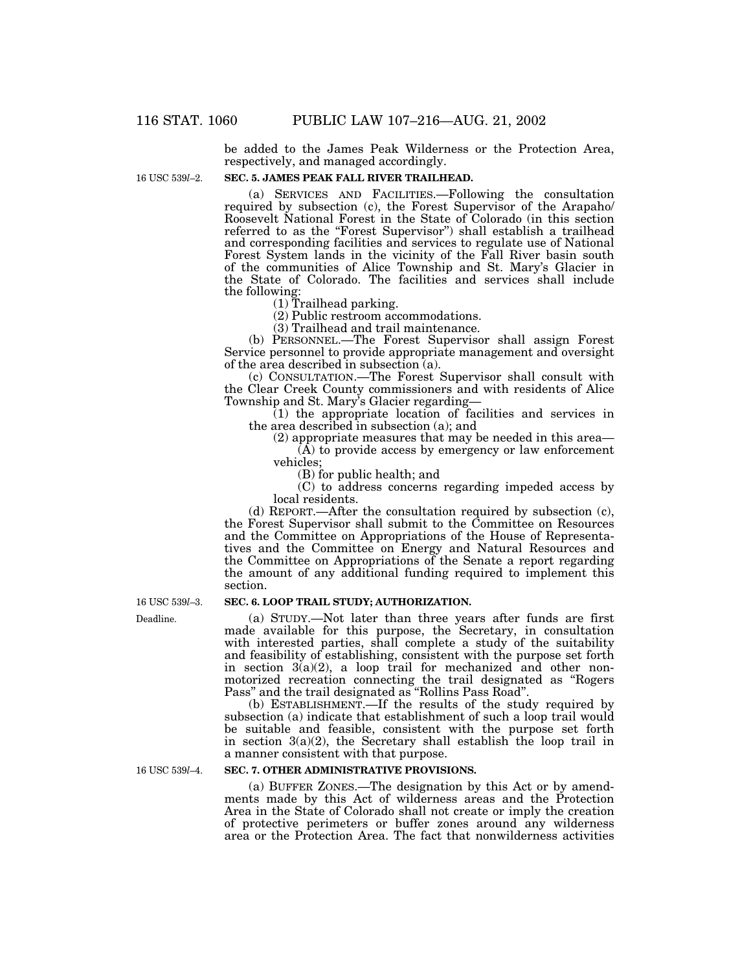be added to the James Peak Wilderness or the Protection Area, respectively, and managed accordingly.

16 USC 539*l*–2.

#### **SEC. 5. JAMES PEAK FALL RIVER TRAILHEAD.**

(a) SERVICES AND FACILITIES.—Following the consultation required by subsection (c), the Forest Supervisor of the Arapaho/ Roosevelt National Forest in the State of Colorado (in this section referred to as the "Forest Supervisor") shall establish a trailhead and corresponding facilities and services to regulate use of National Forest System lands in the vicinity of the Fall River basin south of the communities of Alice Township and St. Mary's Glacier in the State of Colorado. The facilities and services shall include the following:

(1) Trailhead parking.

(2) Public restroom accommodations.

(3) Trailhead and trail maintenance.

(b) PERSONNEL.—The Forest Supervisor shall assign Forest Service personnel to provide appropriate management and oversight of the area described in subsection  $\overline{a}$ .

(c) CONSULTATION.—The Forest Supervisor shall consult with the Clear Creek County commissioners and with residents of Alice Township and St. Mary's Glacier regarding—

(1) the appropriate location of facilities and services in the area described in subsection (a); and

(2) appropriate measures that may be needed in this area—  $(A)$  to provide access by emergency or law enforcement vehicles;

(B) for public health; and

(C) to address concerns regarding impeded access by local residents.

(d) REPORT.—After the consultation required by subsection (c), the Forest Supervisor shall submit to the Committee on Resources and the Committee on Appropriations of the House of Representatives and the Committee on Energy and Natural Resources and the Committee on Appropriations of the Senate a report regarding the amount of any additional funding required to implement this section.

16 USC 539*l*–3.

## **SEC. 6. LOOP TRAIL STUDY; AUTHORIZATION.**

(a) STUDY.—Not later than three years after funds are first made available for this purpose, the Secretary, in consultation with interested parties, shall complete a study of the suitability and feasibility of establishing, consistent with the purpose set forth in section  $3(a)(2)$ , a loop trail for mechanized and other nonmotorized recreation connecting the trail designated as ''Rogers

Pass'' and the trail designated as ''Rollins Pass Road''. (b) ESTABLISHMENT.—If the results of the study required by subsection (a) indicate that establishment of such a loop trail would be suitable and feasible, consistent with the purpose set forth in section  $3(a)(2)$ , the Secretary shall establish the loop trail in a manner consistent with that purpose.

## **SEC. 7. OTHER ADMINISTRATIVE PROVISIONS.**

(a) BUFFER ZONES.—The designation by this Act or by amendments made by this Act of wilderness areas and the Protection Area in the State of Colorado shall not create or imply the creation of protective perimeters or buffer zones around any wilderness area or the Protection Area. The fact that nonwilderness activities

Deadline.

16 USC 539*l*–4.